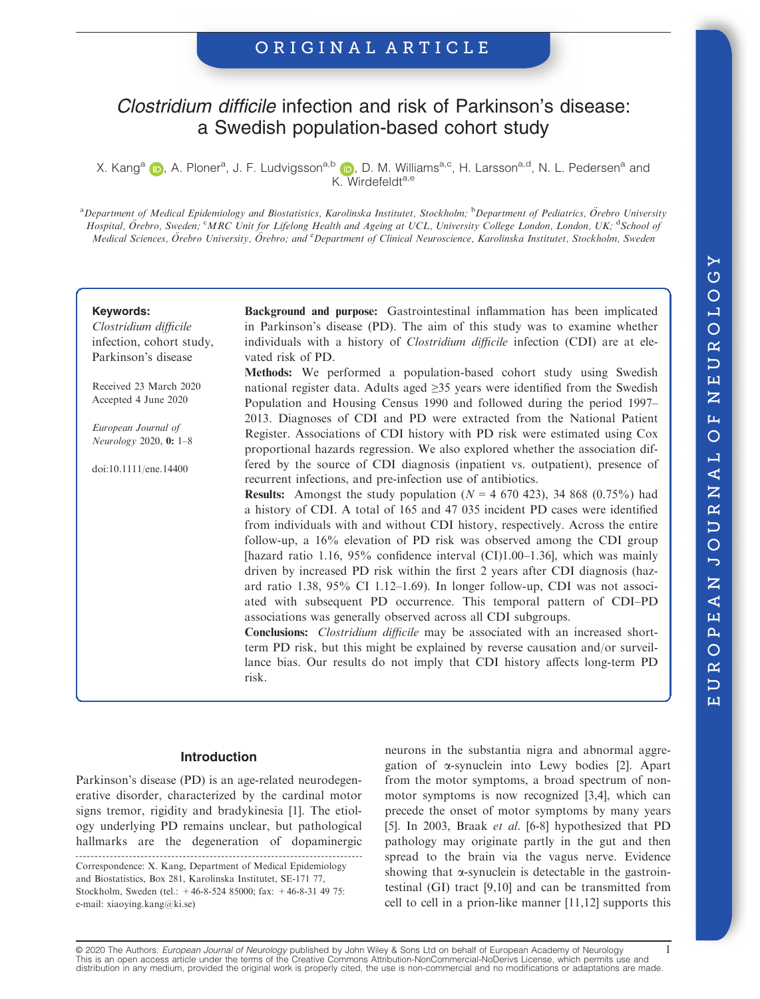### ORIGINAL ARTICLE

## Clostridium difficile infection and risk of Parkinson's disease: a Swedish population-based cohort study

X. Kang<sup>a</sup> (**i**), A. Ploner<sup>a</sup>, J. F. Ludvigsson<sup>a,[b](https://orcid.org/0000-0003-1024-5602)</sup> (**i)**, D. M. Williams<sup>a,c</sup>, H. Larsson<sup>a,d</sup>, N. L. Pedersen<sup>a</sup> and K. Wirdefeldta,e

<sup>a</sup> Department of Medical Epidemiology and Biostatistics, Karolinska Institutet, Stockholm; <sup>b</sup>Department of Pediatrics, Örebro University Hospital, Örebro, Sweden; CMRC Unit for Lifelong Health and Ageing at UCL, University College London, London, UK; <sup>d</sup>School of Medical Sciences, Örebro University, Örebro; and <sup>e</sup>Department of Clinical Neuroscience, Karolinska Institutet, Stockholm, Sweden

#### Keywords:

Clostridium difficile infection, cohort study, Parkinson's disease

Received 23 March 2020 Accepted 4 June 2020

European Journal of Neurology 2020, 0: 1–8

doi:10.1111/ene.14400

Background and purpose: Gastrointestinal inflammation has been implicated in Parkinson's disease (PD). The aim of this study was to examine whether individuals with a history of *Clostridium difficile* infection (CDI) are at elevated risk of PD.

Methods: We performed a population-based cohort study using Swedish national register data. Adults aged ≥35 years were identified from the Swedish Population and Housing Census 1990 and followed during the period 1997– 2013. Diagnoses of CDI and PD were extracted from the National Patient Register. Associations of CDI history with PD risk were estimated using Cox proportional hazards regression. We also explored whether the association differed by the source of CDI diagnosis (inpatient vs. outpatient), presence of recurrent infections, and pre-infection use of antibiotics.

**Results:** Amongst the study population ( $N = 4$  670 423), 34 868 (0.75%) had a history of CDI. A total of 165 and 47 035 incident PD cases were identified from individuals with and without CDI history, respectively. Across the entire follow-up, a 16% elevation of PD risk was observed among the CDI group [hazard ratio 1.16,  $95\%$  confidence interval (CI)1.00–1.36], which was mainly driven by increased PD risk within the first 2 years after CDI diagnosis (hazard ratio 1.38, 95% CI 1.12–1.69). In longer follow-up, CDI was not associated with subsequent PD occurrence. This temporal pattern of CDI–PD associations was generally observed across all CDI subgroups.

Conclusions: Clostridium difficile may be associated with an increased shortterm PD risk, but this might be explained by reverse causation and/or surveillance bias. Our results do not imply that CDI history affects long-term PD risk.

#### Introduction

Parkinson's disease (PD) is an age-related neurodegenerative disorder, characterized by the cardinal motor signs tremor, rigidity and bradykinesia [1]. The etiology underlying PD remains unclear, but pathological hallmarks are the degeneration of dopaminergic

Correspondence: X. Kang, Department of Medical Epidemiology and Biostatistics, Box 281, Karolinska Institutet, SE-171 77, Stockholm, Sweden (tel.: +46-8-524 85000; fax: +46-8-31 49 75: e-mail: [xiaoying.kang@ki.se\)](mailto:xiaoying.kang@ki.se)

neurons in the substantia nigra and abnormal aggregation of  $\alpha$ -synuclein into Lewy bodies [2]. Apart from the motor symptoms, a broad spectrum of nonmotor symptoms is now recognized [3,4], which can precede the onset of motor symptoms by many years [5]. In 2003, Braak et al. [6-8] hypothesized that PD pathology may originate partly in the gut and then spread to the brain via the vagus nerve. Evidence showing that  $\alpha$ -synuclein is detectable in the gastrointestinal (GI) tract [9,10] and can be transmitted from cell to cell in a prion-like manner [11,12] supports this

© 2020 The Authors. *European Journal of Neurology* published by John Wiley & Sons Ltd on behalf of European Academy of Neurology 1<br>This is an open access article under the terms of the Creative Commons Attribution-NonComm distribution in any medium, provided the original work is properly cited, the use is non-commercial and no modifications or adaptations are made.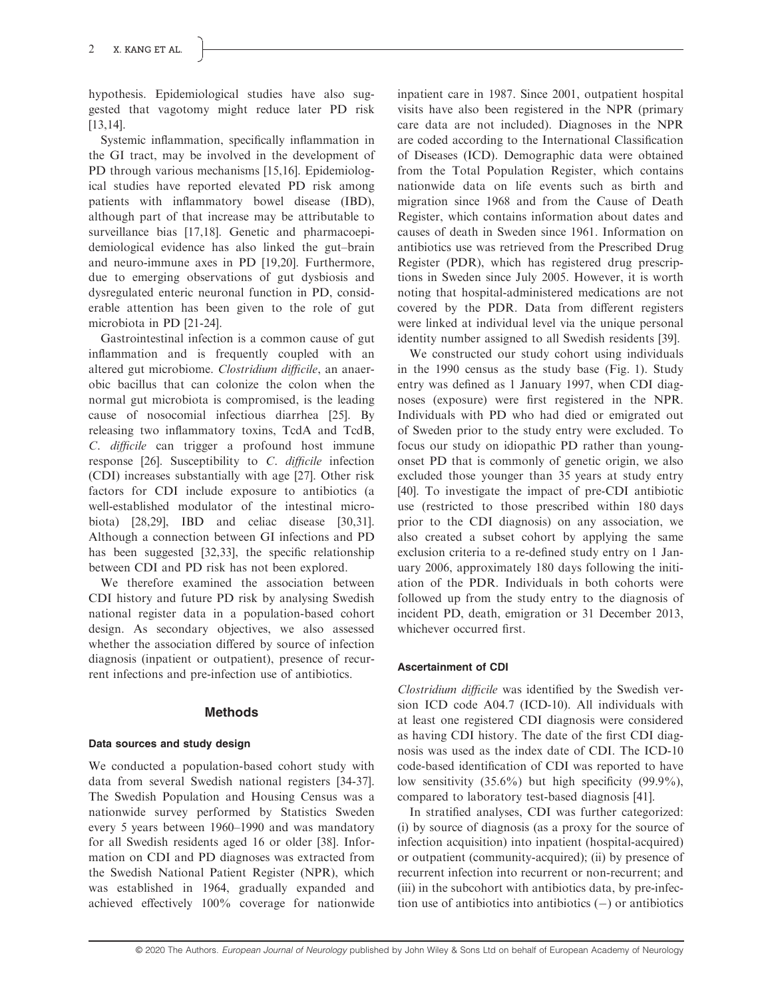hypothesis. Epidemiological studies have also suggested that vagotomy might reduce later PD risk [13,14].

Systemic inflammation, specifically inflammation in the GI tract, may be involved in the development of PD through various mechanisms [15,16]. Epidemiological studies have reported elevated PD risk among patients with inflammatory bowel disease (IBD), although part of that increase may be attributable to surveillance bias [17,18]. Genetic and pharmacoepidemiological evidence has also linked the gut–brain and neuro-immune axes in PD [19,20]. Furthermore, due to emerging observations of gut dysbiosis and dysregulated enteric neuronal function in PD, considerable attention has been given to the role of gut microbiota in PD [21-24].

Gastrointestinal infection is a common cause of gut inflammation and is frequently coupled with an altered gut microbiome. Clostridium difficile, an anaerobic bacillus that can colonize the colon when the normal gut microbiota is compromised, is the leading cause of nosocomial infectious diarrhea [25]. By releasing two inflammatory toxins, TcdA and TcdB, C. difficile can trigger a profound host immune response [26]. Susceptibility to C. difficile infection (CDI) increases substantially with age [27]. Other risk factors for CDI include exposure to antibiotics (a well-established modulator of the intestinal microbiota) [28,29], IBD and celiac disease [30,31]. Although a connection between GI infections and PD has been suggested [32,33], the specific relationship between CDI and PD risk has not been explored.

We therefore examined the association between CDI history and future PD risk by analysing Swedish national register data in a population-based cohort design. As secondary objectives, we also assessed whether the association differed by source of infection diagnosis (inpatient or outpatient), presence of recurrent infections and pre-infection use of antibiotics.

#### Methods

#### Data sources and study design

We conducted a population-based cohort study with data from several Swedish national registers [34-37]. The Swedish Population and Housing Census was a nationwide survey performed by Statistics Sweden every 5 years between 1960–1990 and was mandatory for all Swedish residents aged 16 or older [38]. Information on CDI and PD diagnoses was extracted from the Swedish National Patient Register (NPR), which was established in 1964, gradually expanded and achieved effectively 100% coverage for nationwide inpatient care in 1987. Since 2001, outpatient hospital visits have also been registered in the NPR (primary care data are not included). Diagnoses in the NPR are coded according to the International Classification of Diseases (ICD). Demographic data were obtained from the Total Population Register, which contains nationwide data on life events such as birth and migration since 1968 and from the Cause of Death Register, which contains information about dates and causes of death in Sweden since 1961. Information on antibiotics use was retrieved from the Prescribed Drug Register (PDR), which has registered drug prescriptions in Sweden since July 2005. However, it is worth noting that hospital-administered medications are not covered by the PDR. Data from different registers were linked at individual level via the unique personal identity number assigned to all Swedish residents [39].

We constructed our study cohort using individuals in the 1990 census as the study base (Fig. 1). Study entry was defined as 1 January 1997, when CDI diagnoses (exposure) were first registered in the NPR. Individuals with PD who had died or emigrated out of Sweden prior to the study entry were excluded. To focus our study on idiopathic PD rather than youngonset PD that is commonly of genetic origin, we also excluded those younger than 35 years at study entry [40]. To investigate the impact of pre-CDI antibiotic use (restricted to those prescribed within 180 days prior to the CDI diagnosis) on any association, we also created a subset cohort by applying the same exclusion criteria to a re-defined study entry on 1 January 2006, approximately 180 days following the initiation of the PDR. Individuals in both cohorts were followed up from the study entry to the diagnosis of incident PD, death, emigration or 31 December 2013, whichever occurred first.

#### Ascertainment of CDI

Clostridium difficile was identified by the Swedish version ICD code A04.7 (ICD-10). All individuals with at least one registered CDI diagnosis were considered as having CDI history. The date of the first CDI diagnosis was used as the index date of CDI. The ICD-10 code-based identification of CDI was reported to have low sensitivity (35.6%) but high specificity (99.9%), compared to laboratory test-based diagnosis [41].

In stratified analyses, CDI was further categorized: (i) by source of diagnosis (as a proxy for the source of infection acquisition) into inpatient (hospital-acquired) or outpatient (community-acquired); (ii) by presence of recurrent infection into recurrent or non-recurrent; and (iii) in the subcohort with antibiotics data, by pre-infection use of antibiotics into antibiotics  $(-)$  or antibiotics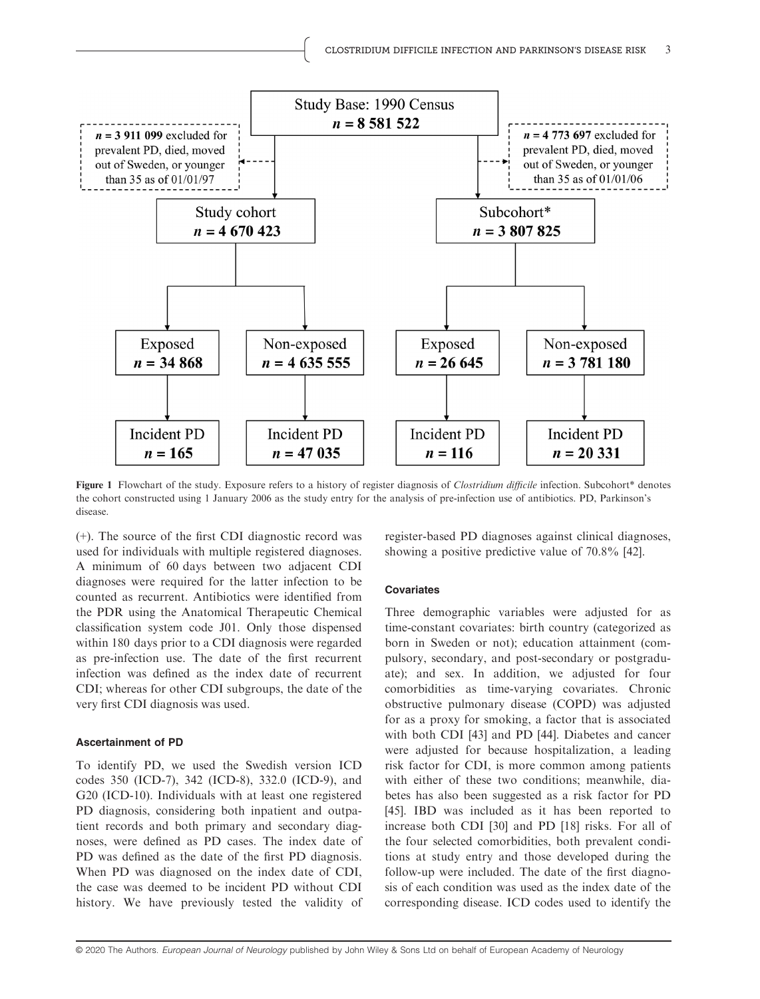

Figure 1 Flowchart of the study. Exposure refers to a history of register diagnosis of Clostridium difficile infection. Subcohort\* denotes the cohort constructed using 1 January 2006 as the study entry for the analysis of pre-infection use of antibiotics. PD, Parkinson's disease.

(+). The source of the first CDI diagnostic record was used for individuals with multiple registered diagnoses. A minimum of 60 days between two adjacent CDI diagnoses were required for the latter infection to be counted as recurrent. Antibiotics were identified from the PDR using the Anatomical Therapeutic Chemical classification system code J01. Only those dispensed within 180 days prior to a CDI diagnosis were regarded as pre-infection use. The date of the first recurrent infection was defined as the index date of recurrent CDI; whereas for other CDI subgroups, the date of the very first CDI diagnosis was used.

#### Ascertainment of PD

To identify PD, we used the Swedish version ICD codes 350 (ICD-7), 342 (ICD-8), 332.0 (ICD-9), and G20 (ICD-10). Individuals with at least one registered PD diagnosis, considering both inpatient and outpatient records and both primary and secondary diagnoses, were defined as PD cases. The index date of PD was defined as the date of the first PD diagnosis. When PD was diagnosed on the index date of CDI, the case was deemed to be incident PD without CDI history. We have previously tested the validity of register-based PD diagnoses against clinical diagnoses, showing a positive predictive value of 70.8% [42].

#### **Covariates**

Three demographic variables were adjusted for as time-constant covariates: birth country (categorized as born in Sweden or not); education attainment (compulsory, secondary, and post-secondary or postgraduate); and sex. In addition, we adjusted for four comorbidities as time-varying covariates. Chronic obstructive pulmonary disease (COPD) was adjusted for as a proxy for smoking, a factor that is associated with both CDI [43] and PD [44]. Diabetes and cancer were adjusted for because hospitalization, a leading risk factor for CDI, is more common among patients with either of these two conditions; meanwhile, diabetes has also been suggested as a risk factor for PD [45]. IBD was included as it has been reported to increase both CDI [30] and PD [18] risks. For all of the four selected comorbidities, both prevalent conditions at study entry and those developed during the follow-up were included. The date of the first diagnosis of each condition was used as the index date of the corresponding disease. ICD codes used to identify the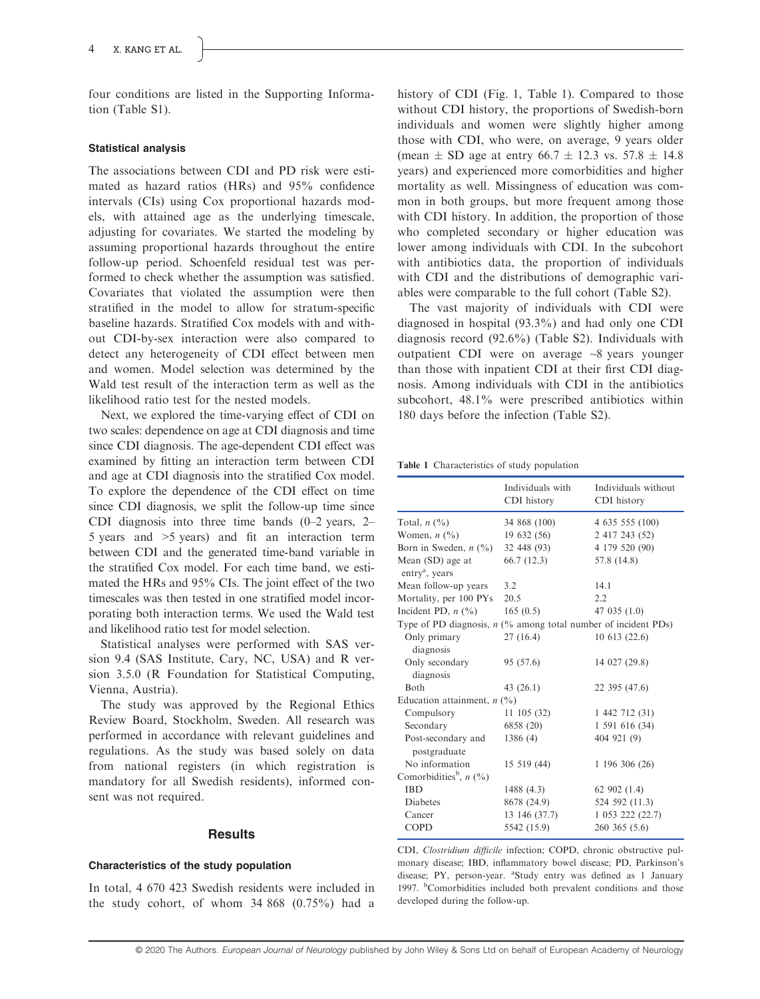four conditions are listed in the Supporting Information (Table S1).

#### Statistical analysis

The associations between CDI and PD risk were estimated as hazard ratios (HRs) and 95% confidence intervals (CIs) using Cox proportional hazards models, with attained age as the underlying timescale, adjusting for covariates. We started the modeling by assuming proportional hazards throughout the entire follow-up period. Schoenfeld residual test was performed to check whether the assumption was satisfied. Covariates that violated the assumption were then stratified in the model to allow for stratum-specific baseline hazards. Stratified Cox models with and without CDI-by-sex interaction were also compared to detect any heterogeneity of CDI effect between men and women. Model selection was determined by the Wald test result of the interaction term as well as the likelihood ratio test for the nested models.

Next, we explored the time-varying effect of CDI on two scales: dependence on age at CDI diagnosis and time since CDI diagnosis. The age-dependent CDI effect was examined by fitting an interaction term between CDI and age at CDI diagnosis into the stratified Cox model. To explore the dependence of the CDI effect on time since CDI diagnosis, we split the follow-up time since CDI diagnosis into three time bands (0–2 years, 2– 5 years and >5 years) and fit an interaction term between CDI and the generated time-band variable in the stratified Cox model. For each time band, we estimated the HRs and 95% CIs. The joint effect of the two timescales was then tested in one stratified model incorporating both interaction terms. We used the Wald test and likelihood ratio test for model selection.

Statistical analyses were performed with SAS version 9.4 (SAS Institute, Cary, NC, USA) and R version 3.5.0 (R Foundation for Statistical Computing, Vienna, Austria).

The study was approved by the Regional Ethics Review Board, Stockholm, Sweden. All research was performed in accordance with relevant guidelines and regulations. As the study was based solely on data from national registers (in which registration is mandatory for all Swedish residents), informed consent was not required.

#### **Results**

#### Characteristics of the study population

In total, 4 670 423 Swedish residents were included in the study cohort, of whom 34 868 (0.75%) had a history of CDI (Fig. 1, Table 1). Compared to those without CDI history, the proportions of Swedish-born individuals and women were slightly higher among those with CDI, who were, on average, 9 years older (mean  $\pm$  SD age at entry 66.7  $\pm$  12.3 vs. 57.8  $\pm$  14.8 years) and experienced more comorbidities and higher mortality as well. Missingness of education was common in both groups, but more frequent among those with CDI history. In addition, the proportion of those who completed secondary or higher education was lower among individuals with CDI. In the subcohort with antibiotics data, the proportion of individuals with CDI and the distributions of demographic variables were comparable to the full cohort (Table S2).

The vast majority of individuals with CDI were diagnosed in hospital (93.3%) and had only one CDI diagnosis record (92.6%) (Table S2). Individuals with outpatient CDI were on average ~8 years younger than those with inpatient CDI at their first CDI diagnosis. Among individuals with CDI in the antibiotics subcohort, 48.1% were prescribed antibiotics within 180 days before the infection (Table S2).

Table 1 Characteristics of study population

|                                                                  | Individuals with<br>CDI history | Individuals without<br>CDI history |  |  |
|------------------------------------------------------------------|---------------------------------|------------------------------------|--|--|
| Total, $n$ $(\%)$                                                | 34 868 (100)                    | 4 635 555 (100)                    |  |  |
| Women, $n$ $(\%)$                                                | 19632(56)                       | 2 417 243 (52)                     |  |  |
| Born in Sweden, $n$ $(\%)$                                       | 32 448 (93)                     | 4 179 520 (90)                     |  |  |
| Mean (SD) age at<br>entry <sup>a</sup> , years                   | 66.7(12.3)                      | 57.8 (14.8)                        |  |  |
| Mean follow-up years                                             | 3.2                             | 14.1                               |  |  |
| Mortality, per 100 PYs                                           | 20.5                            | 2.2                                |  |  |
| Incident PD, $n$ $(\%)$                                          | 165(0.5)                        | 47 035 $(1.0)$                     |  |  |
| Type of PD diagnosis, $n$ (% among total number of incident PDs) |                                 |                                    |  |  |
| Only primary<br>diagnosis                                        | 27(16.4)                        | 10613(22.6)                        |  |  |
| Only secondary<br>diagnosis                                      | 95 (57.6)                       | 14 027 (29.8)                      |  |  |
| <b>Both</b>                                                      | 43(26.1)                        | 22 395 (47.6)                      |  |  |
| Education attainment, $n$ (%)                                    |                                 |                                    |  |  |
| Compulsory                                                       | $11\;105\; (32)$                | 1 442 712 (31)                     |  |  |
| Secondary                                                        | 6858 (20)                       | 1 591 616 (34)                     |  |  |
| Post-secondary and<br>postgraduate                               | 1386(4)                         | 404 921 (9)                        |  |  |
| No information                                                   | 15 519 (44)                     | 1 196 306 (26)                     |  |  |
| Comorbidities <sup>b</sup> , $n$ (%)                             |                                 |                                    |  |  |
| <b>IBD</b>                                                       | 1488(4.3)                       | 62902(1.4)                         |  |  |
| <b>Diabetes</b>                                                  | 8678 (24.9)                     | 524 592 (11.3)                     |  |  |
| Cancer                                                           | 13 146 (37.7)                   | 1 053 222 (22.7)                   |  |  |
| <b>COPD</b>                                                      | 5542 (15.9)                     | 260 365 (5.6)                      |  |  |

CDI, Clostridium difficile infection; COPD, chronic obstructive pulmonary disease; IBD, inflammatory bowel disease; PD, Parkinson's disease; PY, person-year. <sup>a</sup>Study entry was defined as 1 January 1997. <sup>b</sup>Comorbidities included both prevalent conditions and those developed during the follow-up.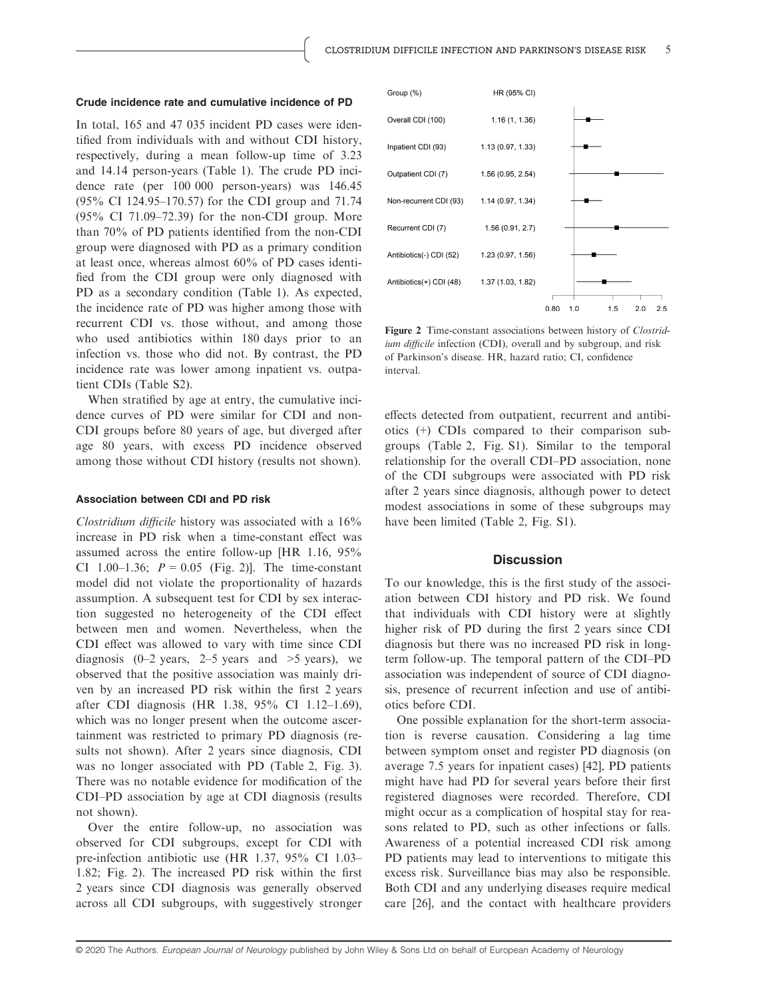#### Crude incidence rate and cumulative incidence of PD

In total, 165 and 47 035 incident PD cases were identified from individuals with and without CDI history, respectively, during a mean follow-up time of 3.23 and 14.14 person-years (Table 1). The crude PD incidence rate (per 100 000 person-years) was 146.45 (95% CI 124.95–170.57) for the CDI group and 71.74 (95% CI 71.09–72.39) for the non-CDI group. More than 70% of PD patients identified from the non-CDI group were diagnosed with PD as a primary condition at least once, whereas almost 60% of PD cases identified from the CDI group were only diagnosed with PD as a secondary condition (Table 1). As expected, the incidence rate of PD was higher among those with recurrent CDI vs. those without, and among those who used antibiotics within 180 days prior to an infection vs. those who did not. By contrast, the PD incidence rate was lower among inpatient vs. outpatient CDIs (Table S2).

When stratified by age at entry, the cumulative incidence curves of PD were similar for CDI and non-CDI groups before 80 years of age, but diverged after age 80 years, with excess PD incidence observed among those without CDI history (results not shown).

#### Association between CDI and PD risk

Clostridium difficile history was associated with a 16% increase in PD risk when a time-constant effect was assumed across the entire follow-up [HR 1.16, 95% CI 1.00–1.36;  $P = 0.05$  (Fig. 2)]. The time-constant model did not violate the proportionality of hazards assumption. A subsequent test for CDI by sex interaction suggested no heterogeneity of the CDI effect between men and women. Nevertheless, when the CDI effect was allowed to vary with time since CDI diagnosis  $(0-2 \text{ years}, 2-5 \text{ years} \text{ and } >5 \text{ years})$ , we observed that the positive association was mainly driven by an increased PD risk within the first 2 years after CDI diagnosis (HR 1.38, 95% CI 1.12–1.69), which was no longer present when the outcome ascertainment was restricted to primary PD diagnosis (results not shown). After 2 years since diagnosis, CDI was no longer associated with PD (Table 2, Fig. 3). There was no notable evidence for modification of the CDI–PD association by age at CDI diagnosis (results not shown).

Over the entire follow-up, no association was observed for CDI subgroups, except for CDI with pre-infection antibiotic use (HR 1.37, 95% CI 1.03– 1.82; Fig. 2). The increased PD risk within the first 2 years since CDI diagnosis was generally observed across all CDI subgroups, with suggestively stronger



Figure 2 Time-constant associations between history of *Clostrid*ium difficile infection (CDI), overall and by subgroup, and risk of Parkinson's disease. HR, hazard ratio; CI, confidence interval.

effects detected from outpatient, recurrent and antibiotics (+) CDIs compared to their comparison subgroups (Table 2, Fig. S1). Similar to the temporal relationship for the overall CDI–PD association, none of the CDI subgroups were associated with PD risk after 2 years since diagnosis, although power to detect modest associations in some of these subgroups may have been limited (Table 2, Fig. S1).

#### **Discussion**

To our knowledge, this is the first study of the association between CDI history and PD risk. We found that individuals with CDI history were at slightly higher risk of PD during the first 2 years since CDI diagnosis but there was no increased PD risk in longterm follow-up. The temporal pattern of the CDI–PD association was independent of source of CDI diagnosis, presence of recurrent infection and use of antibiotics before CDI.

One possible explanation for the short-term association is reverse causation. Considering a lag time between symptom onset and register PD diagnosis (on average 7.5 years for inpatient cases) [42], PD patients might have had PD for several years before their first registered diagnoses were recorded. Therefore, CDI might occur as a complication of hospital stay for reasons related to PD, such as other infections or falls. Awareness of a potential increased CDI risk among PD patients may lead to interventions to mitigate this excess risk. Surveillance bias may also be responsible. Both CDI and any underlying diseases require medical care [26], and the contact with healthcare providers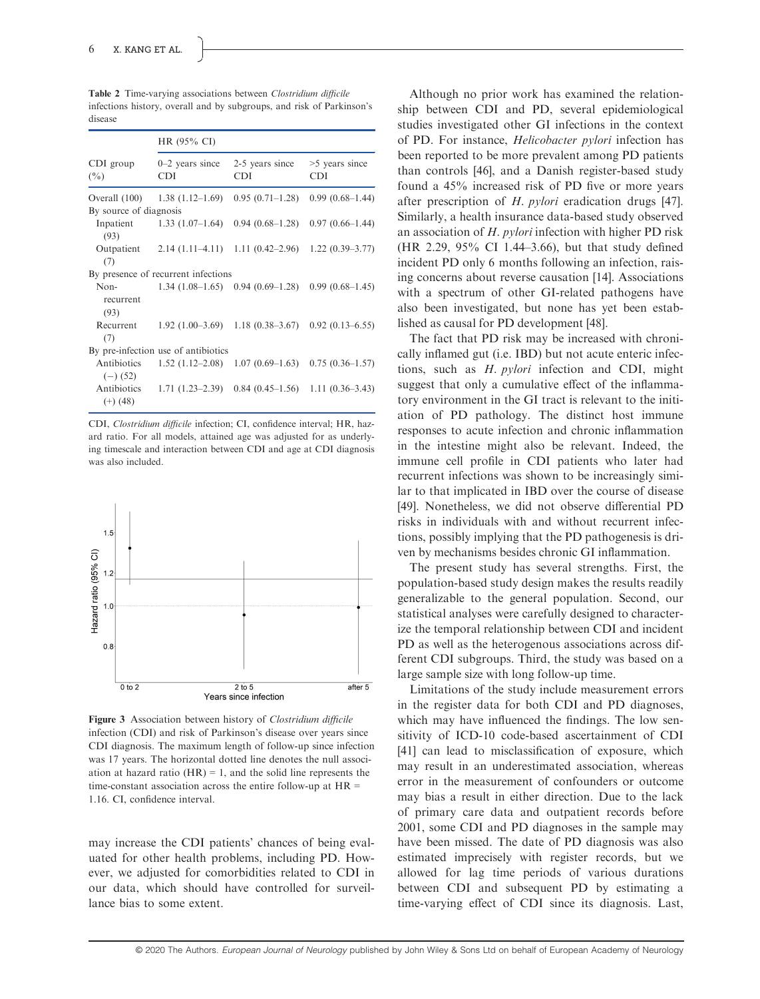Table 2 Time-varying associations between Clostridium difficile infections history, overall and by subgroups, and risk of Parkinson's disease

|                           | HR (95% CI)                         |                               |                                      |  |
|---------------------------|-------------------------------------|-------------------------------|--------------------------------------|--|
| $CDI$ group<br>$(\%)$     | $0-2$ years since<br><b>CDI</b>     | 2-5 years since<br><b>CDI</b> | >5 years since<br>CDI                |  |
| Overall (100)             | $1.38(1.12-1.69)$                   | $0.95(0.71-1.28)$             | $0.99(0.68-1.44)$                    |  |
| By source of diagnosis    |                                     |                               |                                      |  |
| (93)                      | Inpatient $1.33(1.07-1.64)$         | $0.94(0.68-1.28)$             | $0.97(0.66 - 1.44)$                  |  |
| Outpatient<br>(7)         | $2.14(1.11-4.11)$                   | $1.11(0.42-2.96)$             | $1.22(0.39 - 3.77)$                  |  |
|                           | By presence of recurrent infections |                               |                                      |  |
| Non-<br>recurrent<br>(93) | $1.34(1.08-1.65)$                   | $0.94(0.69-1.28)$             | $0.99(0.68-1.45)$                    |  |
| Recurrent<br>(7)          | $1.92(1.00-3.69)$                   | $1.18(0.38 - 3.67)$           | $0.92(0.13 - 6.55)$                  |  |
|                           | By pre-infection use of antibiotics |                               |                                      |  |
| Antibiotics<br>$(-)$ (52) | $1.52(1.12-2.08)$                   |                               | $1.07(0.69-1.63)$ 0.75 $(0.36-1.57)$ |  |
| Antibiotics<br>$(+)$ (48) | $1.71(1.23-2.39)$                   | $0.84(0.45-1.56)$             | $1.11(0.36-3.43)$                    |  |

CDI, Clostridium difficile infection; CI, confidence interval; HR, hazard ratio. For all models, attained age was adjusted for as underlying timescale and interaction between CDI and age at CDI diagnosis was also included.



Figure 3 Association between history of *Clostridium difficile* infection (CDI) and risk of Parkinson's disease over years since CDI diagnosis. The maximum length of follow-up since infection was 17 years. The horizontal dotted line denotes the null association at hazard ratio  $(HR) = 1$ , and the solid line represents the time-constant association across the entire follow-up at  $HR =$ 1.16. CI, confidence interval.

may increase the CDI patients' chances of being evaluated for other health problems, including PD. However, we adjusted for comorbidities related to CDI in our data, which should have controlled for surveillance bias to some extent.

Although no prior work has examined the relationship between CDI and PD, several epidemiological studies investigated other GI infections in the context of PD. For instance, Helicobacter pylori infection has been reported to be more prevalent among PD patients than controls [46], and a Danish register-based study found a 45% increased risk of PD five or more years after prescription of H. pylori eradication drugs [47]. Similarly, a health insurance data-based study observed an association of H. pylori infection with higher PD risk (HR 2.29, 95% CI 1.44–3.66), but that study defined incident PD only 6 months following an infection, raising concerns about reverse causation [14]. Associations with a spectrum of other GI-related pathogens have also been investigated, but none has yet been established as causal for PD development [48].

The fact that PD risk may be increased with chronically inflamed gut (i.e. IBD) but not acute enteric infections, such as H. pylori infection and CDI, might suggest that only a cumulative effect of the inflammatory environment in the GI tract is relevant to the initiation of PD pathology. The distinct host immune responses to acute infection and chronic inflammation in the intestine might also be relevant. Indeed, the immune cell profile in CDI patients who later had recurrent infections was shown to be increasingly similar to that implicated in IBD over the course of disease [49]. Nonetheless, we did not observe differential PD risks in individuals with and without recurrent infections, possibly implying that the PD pathogenesis is driven by mechanisms besides chronic GI inflammation.

The present study has several strengths. First, the population-based study design makes the results readily generalizable to the general population. Second, our statistical analyses were carefully designed to characterize the temporal relationship between CDI and incident PD as well as the heterogenous associations across different CDI subgroups. Third, the study was based on a large sample size with long follow-up time.

Limitations of the study include measurement errors in the register data for both CDI and PD diagnoses, which may have influenced the findings. The low sensitivity of ICD-10 code-based ascertainment of CDI [41] can lead to misclassification of exposure, which may result in an underestimated association, whereas error in the measurement of confounders or outcome may bias a result in either direction. Due to the lack of primary care data and outpatient records before 2001, some CDI and PD diagnoses in the sample may have been missed. The date of PD diagnosis was also estimated imprecisely with register records, but we allowed for lag time periods of various durations between CDI and subsequent PD by estimating a time-varying effect of CDI since its diagnosis. Last,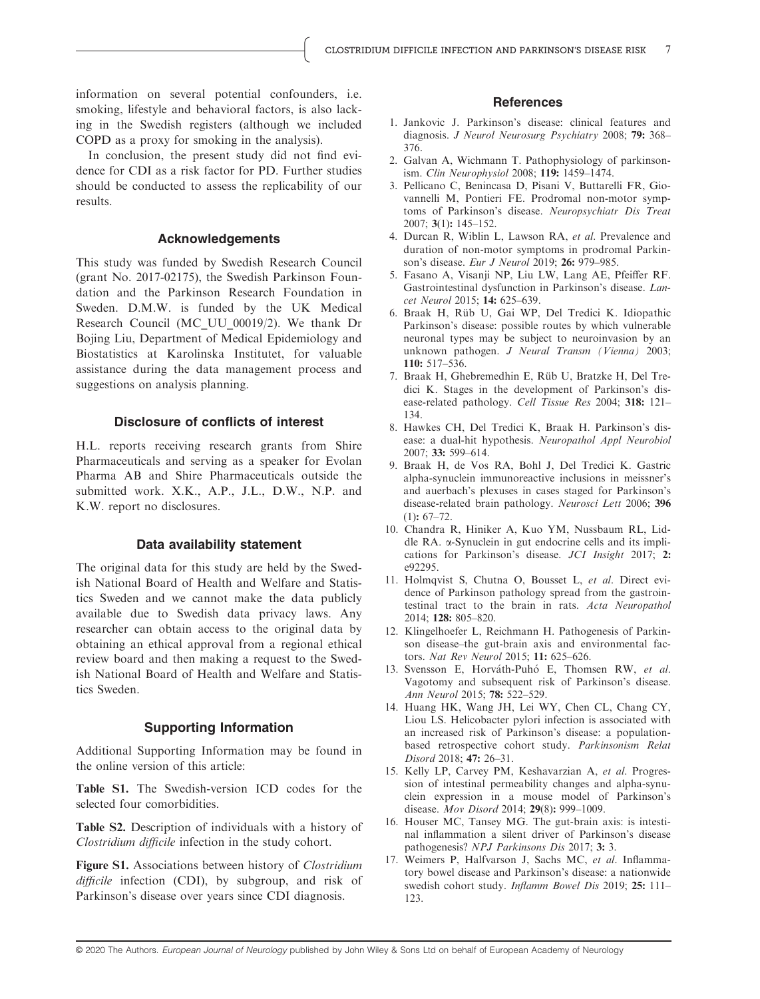information on several potential confounders, i.e. smoking, lifestyle and behavioral factors, is also lacking in the Swedish registers (although we included COPD as a proxy for smoking in the analysis).

In conclusion, the present study did not find evidence for CDI as a risk factor for PD. Further studies should be conducted to assess the replicability of our results.

#### Acknowledgements

This study was funded by Swedish Research Council (grant No. 2017-02175), the Swedish Parkinson Foundation and the Parkinson Research Foundation in Sweden. D.M.W. is funded by the UK Medical Research Council (MC\_UU\_00019/2). We thank Dr Bojing Liu, Department of Medical Epidemiology and Biostatistics at Karolinska Institutet, for valuable assistance during the data management process and suggestions on analysis planning.

#### Disclosure of conflicts of interest

H.L. reports receiving research grants from Shire Pharmaceuticals and serving as a speaker for Evolan Pharma AB and Shire Pharmaceuticals outside the submitted work. X.K., A.P., J.L., D.W., N.P. and K.W. report no disclosures.

#### Data availability statement

The original data for this study are held by the Swedish National Board of Health and Welfare and Statistics Sweden and we cannot make the data publicly available due to Swedish data privacy laws. Any researcher can obtain access to the original data by obtaining an ethical approval from a regional ethical review board and then making a request to the Swedish National Board of Health and Welfare and Statistics Sweden.

#### Supporting Information

Additional Supporting Information may be found in the online version of this article:

Table S1. The Swedish-version ICD codes for the selected four comorbidities.

Table S2. Description of individuals with a history of Clostridium difficile infection in the study cohort.

Figure S1. Associations between history of *Clostridium* difficile infection (CDI), by subgroup, and risk of Parkinson's disease over years since CDI diagnosis.

#### **References**

- 1. Jankovic J. Parkinson's disease: clinical features and diagnosis. J Neurol Neurosurg Psychiatry 2008; 79: 368– 376.
- 2. Galvan A, Wichmann T. Pathophysiology of parkinsonism. Clin Neurophysiol 2008; 119: 1459–1474.
- 3. Pellicano C, Benincasa D, Pisani V, Buttarelli FR, Giovannelli M, Pontieri FE. Prodromal non-motor symptoms of Parkinson's disease. Neuropsychiatr Dis Treat 2007; 3(1): 145–152.
- 4. Durcan R, Wiblin L, Lawson RA, et al. Prevalence and duration of non-motor symptoms in prodromal Parkinson's disease. Eur J Neurol 2019; 26: 979–985.
- 5. Fasano A, Visanji NP, Liu LW, Lang AE, Pfeiffer RF. Gastrointestinal dysfunction in Parkinson's disease. Lancet Neurol 2015; 14: 625–639.
- 6. Braak H, Rüb U, Gai WP, Del Tredici K. Idiopathic Parkinson's disease: possible routes by which vulnerable neuronal types may be subject to neuroinvasion by an unknown pathogen. J Neural Transm (Vienna) 2003; 110: 517–536.
- 7. Braak H, Ghebremedhin E, Rüb U, Bratzke H, Del Tredici K. Stages in the development of Parkinson's disease-related pathology. Cell Tissue Res 2004; 318: 121– 134.
- 8. Hawkes CH, Del Tredici K, Braak H. Parkinson's disease: a dual-hit hypothesis. Neuropathol Appl Neurobiol 2007; 33: 599–614.
- 9. Braak H, de Vos RA, Bohl J, Del Tredici K. Gastric alpha-synuclein immunoreactive inclusions in meissner's and auerbach's plexuses in cases staged for Parkinson's disease-related brain pathology. Neurosci Lett 2006; 396  $(1): 67 - 72.$
- 10. Chandra R, Hiniker A, Kuo YM, Nussbaum RL, Liddle RA. a-Synuclein in gut endocrine cells and its implications for Parkinson's disease. JCI Insight 2017; 2: e92295.
- 11. Holmqvist S, Chutna O, Bousset L, et al. Direct evidence of Parkinson pathology spread from the gastrointestinal tract to the brain in rats. Acta Neuropathol 2014; 128: 805–820.
- 12. Klingelhoefer L, Reichmann H. Pathogenesis of Parkinson disease–the gut-brain axis and environmental factors. Nat Rev Neurol 2015; 11: 625–626.
- 13. Svensson E, Horváth-Puhó E, Thomsen RW, et al. Vagotomy and subsequent risk of Parkinson's disease. Ann Neurol 2015; 78: 522–529.
- 14. Huang HK, Wang JH, Lei WY, Chen CL, Chang CY, Liou LS. Helicobacter pylori infection is associated with an increased risk of Parkinson's disease: a populationbased retrospective cohort study. Parkinsonism Relat Disord 2018; 47: 26–31.
- 15. Kelly LP, Carvey PM, Keshavarzian A, et al. Progression of intestinal permeability changes and alpha-synuclein expression in a mouse model of Parkinson's disease. Mov Disord 2014; 29(8): 999–1009.
- 16. Houser MC, Tansey MG. The gut-brain axis: is intestinal inflammation a silent driver of Parkinson's disease pathogenesis? NPJ Parkinsons Dis 2017; 3: 3.
- 17. Weimers P, Halfvarson J, Sachs MC, et al. Inflammatory bowel disease and Parkinson's disease: a nationwide swedish cohort study. Inflamm Bowel Dis 2019; 25: 111-123.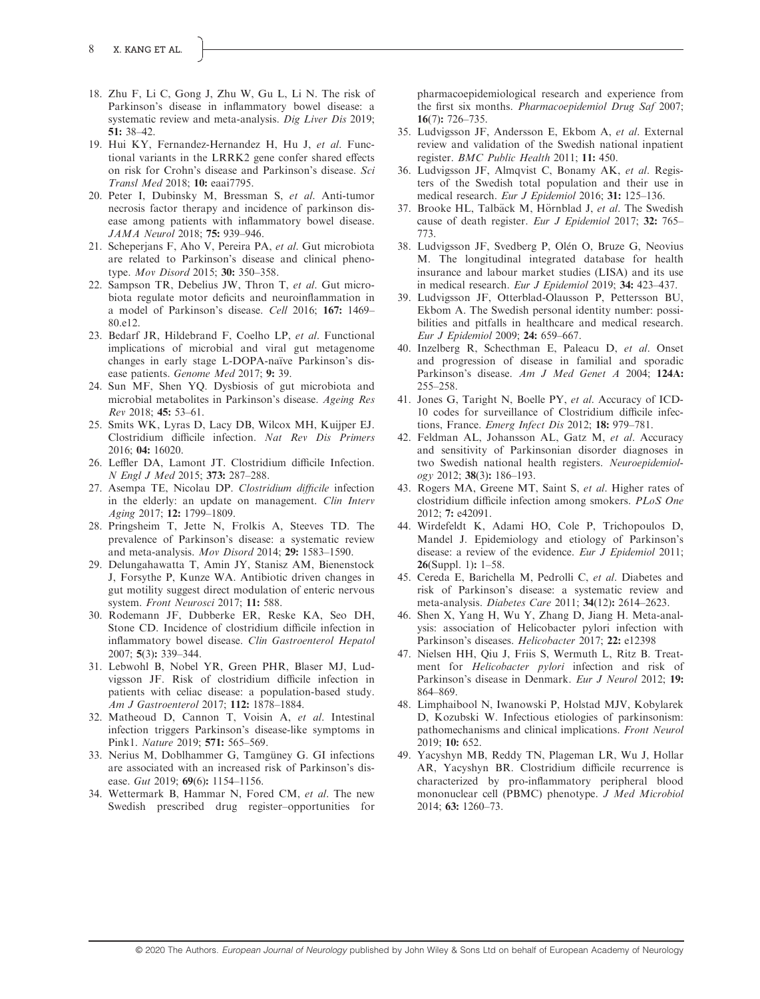- 18. Zhu F, Li C, Gong J, Zhu W, Gu L, Li N. The risk of Parkinson's disease in inflammatory bowel disease: a systematic review and meta-analysis. Dig Liver Dis 2019; 51: 38–42.
- 19. Hui KY, Fernandez-Hernandez H, Hu J, et al. Functional variants in the LRRK2 gene confer shared effects on risk for Crohn's disease and Parkinson's disease. Sci Transl Med 2018; 10: eaai7795.
- 20. Peter I, Dubinsky M, Bressman S, et al. Anti-tumor necrosis factor therapy and incidence of parkinson disease among patients with inflammatory bowel disease. JAMA Neurol 2018; 75: 939–946.
- 21. Scheperjans F, Aho V, Pereira PA, et al. Gut microbiota are related to Parkinson's disease and clinical phenotype. Mov Disord 2015; 30: 350-358.
- 22. Sampson TR, Debelius JW, Thron T, et al. Gut microbiota regulate motor deficits and neuroinflammation in a model of Parkinson's disease. Cell 2016; 167: 1469– 80.e12.
- 23. Bedarf JR, Hildebrand F, Coelho LP, et al. Functional implications of microbial and viral gut metagenome changes in early stage L-DOPA-naïve Parkinson's disease patients. Genome Med 2017; 9: 39.
- 24. Sun MF, Shen YQ. Dysbiosis of gut microbiota and microbial metabolites in Parkinson's disease. Ageing Res Rev 2018; 45: 53–61.
- 25. Smits WK, Lyras D, Lacy DB, Wilcox MH, Kuijper EJ. Clostridium difficile infection. Nat Rev Dis Primers 2016; 04: 16020.
- 26. Leffler DA, Lamont JT. Clostridium difficile Infection. N Engl J Med 2015; 373: 287–288.
- 27. Asempa TE, Nicolau DP. Clostridium difficile infection in the elderly: an update on management. Clin Interv Aging 2017; 12: 1799–1809.
- 28. Pringsheim T, Jette N, Frolkis A, Steeves TD. The prevalence of Parkinson's disease: a systematic review and meta-analysis. Mov Disord 2014; 29: 1583–1590.
- 29. Delungahawatta T, Amin JY, Stanisz AM, Bienenstock J, Forsythe P, Kunze WA. Antibiotic driven changes in gut motility suggest direct modulation of enteric nervous system. Front Neurosci 2017; 11: 588.
- 30. Rodemann JF, Dubberke ER, Reske KA, Seo DH, Stone CD. Incidence of clostridium difficile infection in inflammatory bowel disease. Clin Gastroenterol Hepatol 2007; 5(3): 339–344.
- 31. Lebwohl B, Nobel YR, Green PHR, Blaser MJ, Ludvigsson JF. Risk of clostridium difficile infection in patients with celiac disease: a population-based study. Am J Gastroenterol 2017; 112: 1878–1884.
- 32. Matheoud D, Cannon T, Voisin A, et al. Intestinal infection triggers Parkinson's disease-like symptoms in Pink1. Nature 2019; 571: 565–569.
- 33. Nerius M, Doblhammer G, Tamgüney G. GI infections are associated with an increased risk of Parkinson's disease. Gut 2019; 69(6): 1154-1156.
- 34. Wettermark B, Hammar N, Fored CM, et al. The new Swedish prescribed drug register–opportunities for

pharmacoepidemiological research and experience from the first six months. Pharmacoepidemiol Drug Saf 2007; 16(7): 726–735.

- 35. Ludvigsson JF, Andersson E, Ekbom A, et al. External review and validation of the Swedish national inpatient register. BMC Public Health 2011; 11: 450.
- 36. Ludvigsson JF, Almqvist C, Bonamy AK, et al. Registers of the Swedish total population and their use in medical research. Eur J Epidemiol 2016; 31: 125–136.
- 37. Brooke HL, Talbäck M, Hörnblad J, et al. The Swedish cause of death register. Eur J Epidemiol 2017; 32: 765– 773.
- 38. Ludvigsson JF, Svedberg P, Olén O, Bruze G, Neovius M. The longitudinal integrated database for health insurance and labour market studies (LISA) and its use in medical research. Eur J Epidemiol 2019; 34: 423–437.
- 39. Ludvigsson JF, Otterblad-Olausson P, Pettersson BU, Ekbom A. The Swedish personal identity number: possibilities and pitfalls in healthcare and medical research. Eur J Epidemiol 2009; 24: 659–667.
- 40. Inzelberg R, Schecthman E, Paleacu D, et al. Onset and progression of disease in familial and sporadic Parkinson's disease. Am J Med Genet A 2004; 124A: 255–258.
- 41. Jones G, Taright N, Boelle PY, et al. Accuracy of ICD-10 codes for surveillance of Clostridium difficile infections, France. Emerg Infect Dis 2012; 18: 979–781.
- 42. Feldman AL, Johansson AL, Gatz M, et al. Accuracy and sensitivity of Parkinsonian disorder diagnoses in two Swedish national health registers. Neuroepidemiology 2012; 38(3): 186–193.
- 43. Rogers MA, Greene MT, Saint S, et al. Higher rates of clostridium difficile infection among smokers. PLoS One 2012; 7: e42091.
- 44. Wirdefeldt K, Adami HO, Cole P, Trichopoulos D, Mandel J. Epidemiology and etiology of Parkinson's disease: a review of the evidence. Eur J Epidemiol 2011; **26**(Suppl. 1):  $1-58$ .
- 45. Cereda E, Barichella M, Pedrolli C, et al. Diabetes and risk of Parkinson's disease: a systematic review and meta-analysis. Diabetes Care 2011; 34(12): 2614–2623.
- 46. Shen X, Yang H, Wu Y, Zhang D, Jiang H. Meta-analysis: association of Helicobacter pylori infection with Parkinson's diseases. Helicobacter 2017; 22: e12398
- 47. Nielsen HH, Qiu J, Friis S, Wermuth L, Ritz B. Treatment for Helicobacter pylori infection and risk of Parkinson's disease in Denmark. Eur J Neurol 2012; 19: 864–869.
- 48. Limphaibool N, Iwanowski P, Holstad MJV, Kobylarek D, Kozubski W. Infectious etiologies of parkinsonism: pathomechanisms and clinical implications. Front Neurol 2019; 10: 652.
- 49. Yacyshyn MB, Reddy TN, Plageman LR, Wu J, Hollar AR, Yacyshyn BR. Clostridium difficile recurrence is characterized by pro-inflammatory peripheral blood mononuclear cell (PBMC) phenotype. J Med Microbiol 2014; 63: 1260–73.